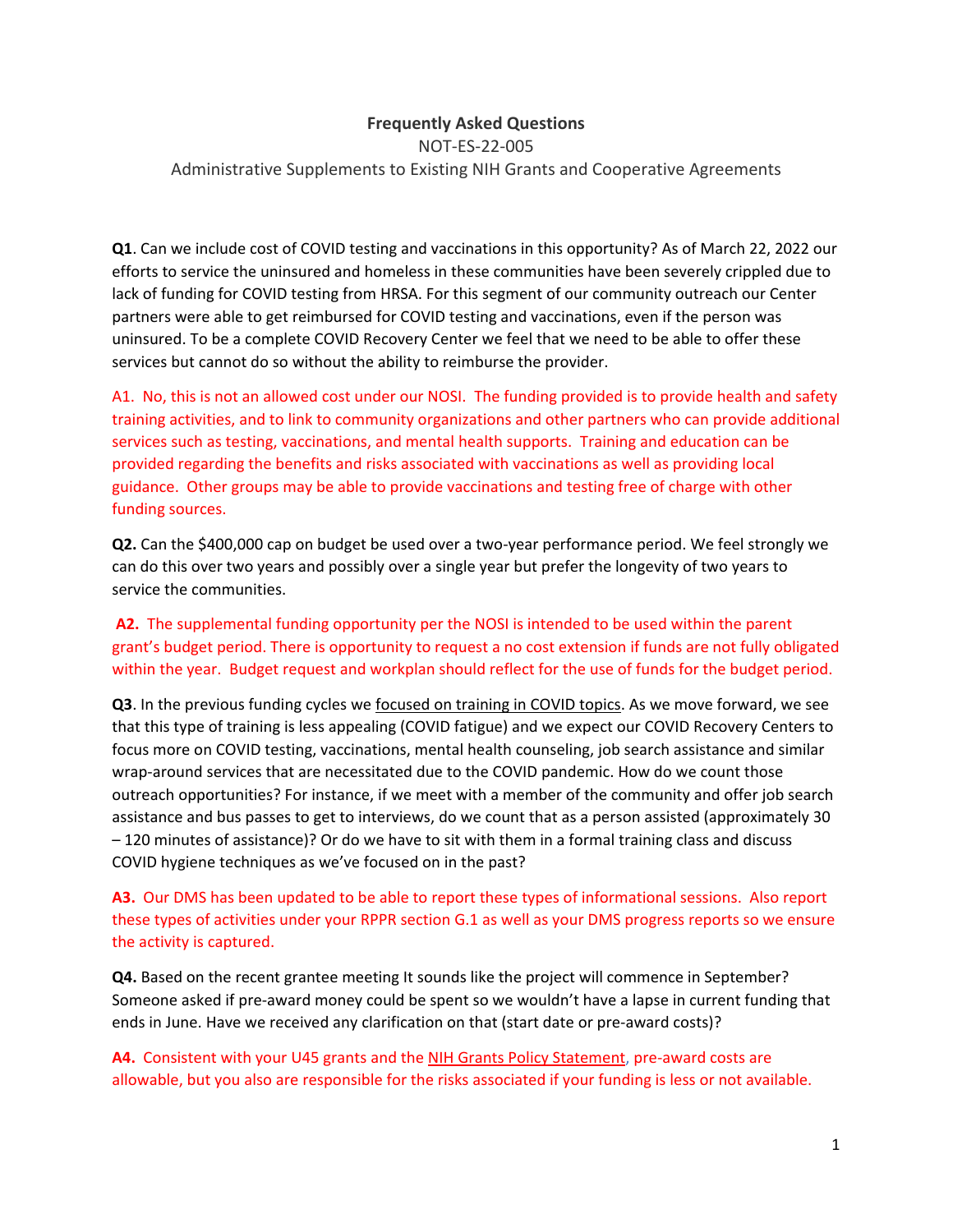## **Frequently Asked Questions**

NOT-ES-22-005 Administrative Supplements to Existing NIH Grants and Cooperative Agreements

**Q1**. Can we include cost of COVID testing and vaccinations in this opportunity? As of March 22, 2022 our efforts to service the uninsured and homeless in these communities have been severely crippled due to lack of funding for COVID testing from HRSA. For this segment of our community outreach our Center partners were able to get reimbursed for COVID testing and vaccinations, even if the person was uninsured. To be a complete COVID Recovery Center we feel that we need to be able to offer these services but cannot do so without the ability to reimburse the provider.

A1. No, this is not an allowed cost under our NOSI. The funding provided is to provide health and safety training activities, and to link to community organizations and other partners who can provide additional services such as testing, vaccinations, and mental health supports. Training and education can be provided regarding the benefits and risks associated with vaccinations as well as providing local guidance. Other groups may be able to provide vaccinations and testing free of charge with other funding sources.

**Q2.** Can the \$400,000 cap on budget be used over a two-year performance period. We feel strongly we can do this over two years and possibly over a single year but prefer the longevity of two years to service the communities.

**A2.** The supplemental funding opportunity per the NOSI is intended to be used within the parent grant's budget period. There is opportunity to request a no cost extension if funds are not fully obligated within the year. Budget request and workplan should reflect for the use of funds for the budget period.

**Q3**. In the previous funding cycles we focused on training in COVID topics. As we move forward, we see that this type of training is less appealing (COVID fatigue) and we expect our COVID Recovery Centers to focus more on COVID testing, vaccinations, mental health counseling, job search assistance and similar wrap-around services that are necessitated due to the COVID pandemic. How do we count those outreach opportunities? For instance, if we meet with a member of the community and offer job search assistance and bus passes to get to interviews, do we count that as a person assisted (approximately 30 – 120 minutes of assistance)? Or do we have to sit with them in a formal training class and discuss COVID hygiene techniques as we've focused on in the past?

## **A3.** Our DMS has been updated to be able to report these types of informational sessions. Also report these types of activities under your RPPR section G.1 as well as your DMS progress reports so we ensure the activity is captured.

**Q4.** Based on the recent grantee meeting It sounds like the project will commence in September? Someone asked if pre-award money could be spent so we wouldn't have a lapse in current funding that ends in June. Have we received any clarification on that (start date or pre-award costs)?

A4. Consistent with your U45 grants and the [NIH Grants Policy Statement,](https://grants.nih.gov/grants/policy/nihgps/html5/section_7/7.9_allowability_of_costs_activities.htm) pre-award costs are allowable, but you also are responsible for the risks associated if your funding is less or not available.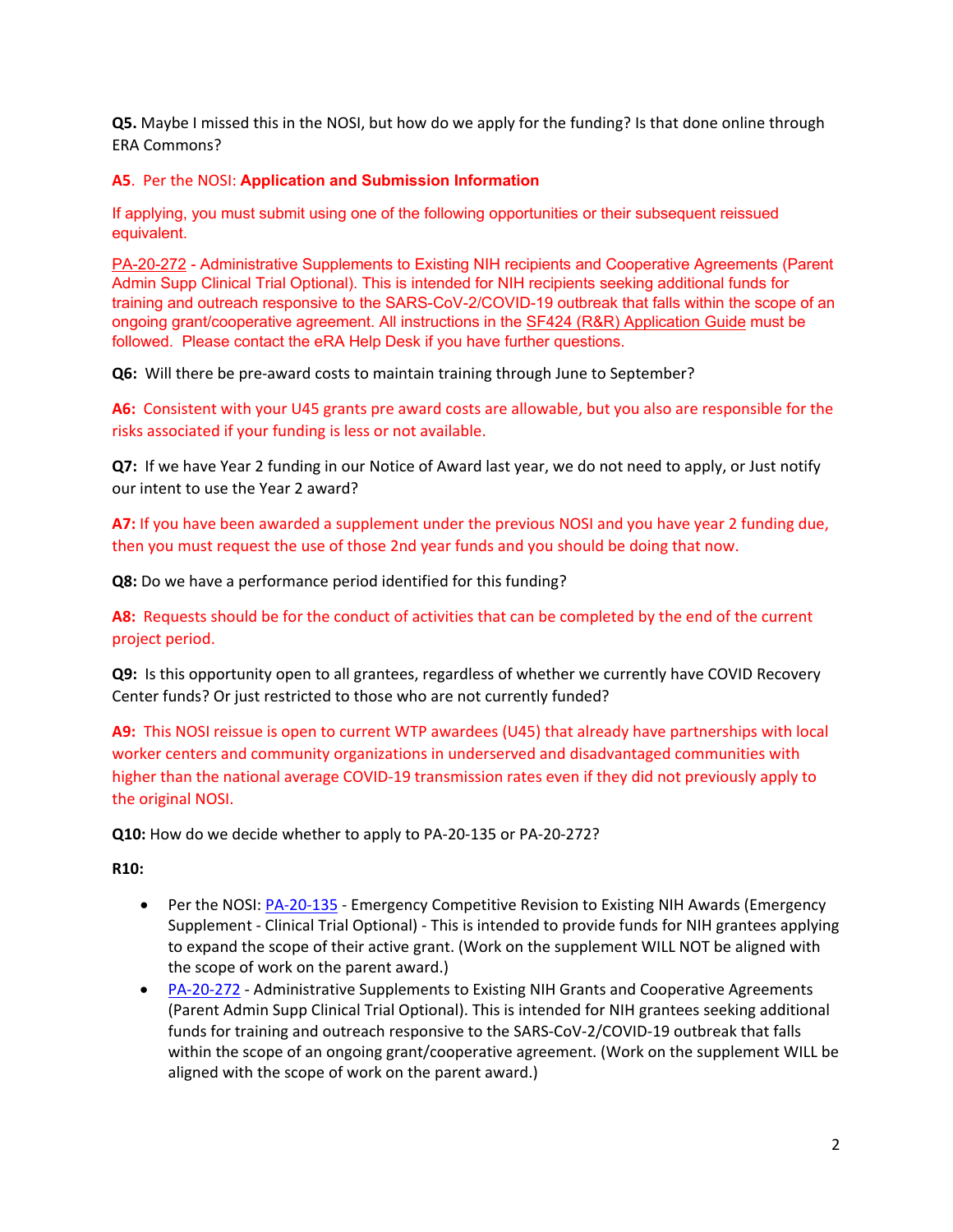**Q5.** Maybe I missed this in the NOSI, but how do we apply for the funding? Is that done online through ERA Commons?

## **A5**. Per the NOSI: **Application and Submission Information**

If applying, you must submit using one of the following opportunities or their subsequent reissued equivalent.

[PA-20-272](https://grants.nih.gov/grants/guide/pa-files/PA-20-272.html) - Administrative Supplements to Existing NIH recipients and Cooperative Agreements (Parent Admin Supp Clinical Trial Optional). This is intended for NIH recipients seeking additional funds for training and outreach responsive to the SARS-CoV-2/COVID-19 outbreak that falls within the scope of an ongoing grant/cooperative agreement. All instructions in the [SF424 \(R&R\) Application Guide](https://grants.nih.gov/grants/how-to-apply-application-guide.html) must be followed. Please contact the eRA Help Desk if you have further questions.

**Q6:** Will there be pre-award costs to maintain training through June to September?

**A6:** Consistent with your U45 grants pre award costs are allowable, but you also are responsible for the risks associated if your funding is less or not available.

**Q7:** If we have Year 2 funding in our Notice of Award last year, we do not need to apply, or Just notify our intent to use the Year 2 award?

**A7:** If you have been awarded a supplement under the previous NOSI and you have year 2 funding due, then you must request the use of those 2nd year funds and you should be doing that now.

**Q8:** Do we have a performance period identified for this funding?

**A8:** Requests should be for the conduct of activities that can be completed by the end of the current project period.

**Q9:** Is this opportunity open to all grantees, regardless of whether we currently have COVID Recovery Center funds? Or just restricted to those who are not currently funded?

**A9:** This NOSI reissue is open to current WTP awardees (U45) that already have partnerships with local worker centers and community organizations in underserved and disadvantaged communities with higher than the national average COVID-19 transmission rates even if they did not previously apply to the original NOSI.

**Q10:** How do we decide whether to apply to PA-20-135 or PA-20-272?

**R10:** 

- Per the NOSI[: PA-20-135](https://grants.nih.gov/grants/guide/pa-files/PA-20-135.html)  Emergency Competitive Revision to Existing NIH Awards (Emergency Supplement - Clinical Trial Optional) - This is intended to provide funds for NIH grantees applying to expand the scope of their active grant. (Work on the supplement WILL NOT be aligned with the scope of work on the parent award.)
- [PA-20-272](https://grants.nih.gov/grants/guide/pa-files/PA-20-135.html)  Administrative Supplements to Existing NIH Grants and Cooperative Agreements (Parent Admin Supp Clinical Trial Optional). This is intended for NIH grantees seeking additional funds for training and outreach responsive to the SARS-CoV-2/COVID-19 outbreak that falls within the scope of an ongoing grant/cooperative agreement. (Work on the supplement WILL be aligned with the scope of work on the parent award.)